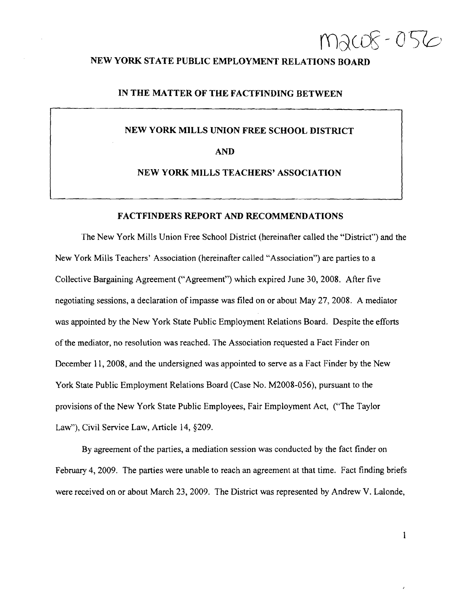$m$  $ac$  $-0$   $5$  $\circ$ 

# NEW YORK STATE PUBLIC EMPLOYMENT RELATIONS BOARD

### IN THE MATTER OF THE FACTFINDING BETWEEN

# NEW YORK MILLS UNION FREE SCHOOL DISTRICT

## AND

#### NEW YORK MILLS TEACHERS' ASSOCIATION

## FACTFINDERS REPORT AND RECOMMENDATIONS

The New York Mills Union Free School District (hereinafter called the "District") and the New York Mills Teachers' Association (hereinafter called"Association") are parties to a Collective Bargaining Agreement ("Agreement") which expired June 30, 2008. After five negotiating sessions, a declaration of impasse was filed on or about May 27, 2008. A mediator was appointed by the New York State Public Employment Relations Board. Despite the efforts of the mediator, no resolution was reached. The Association requested a Fact Finder on December 11,2008, and the undersigned was appointed to serve as a Fact Finder by the New York State Public Employment Relations Board (Case No. M2008-056), pursuant to the provisions of the New York State Public Employees, Fair Employment Act, ("The Taylor Law"), Civil Service Law, Article 14, §209.

By agreement of the parties, a mediation session was conducted by the fact finder on February 4,2009. The parties were unable to reach an agreement at that time. Fact finding briefs were received on or about March 23, 2009. The District was represented by Andrew V. Lalonde,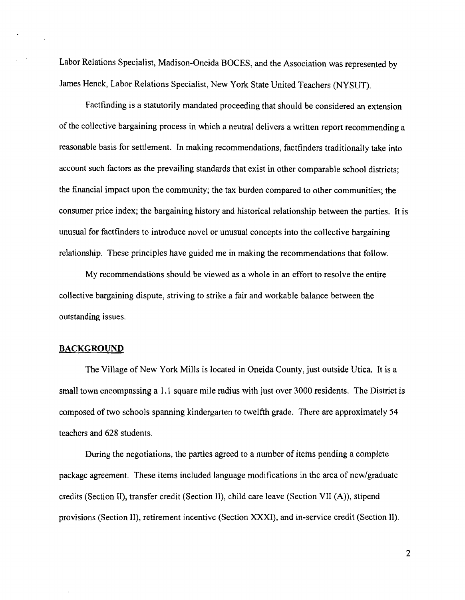Labor Relations Specialist, Madison-Oneida BOCES, and the Association was represented by James Henck, Labor Relations Specialist, New York State United Teachers (NYSUT).

Factfinding is a statutorily mandated proceeding that should be considered an extension of the collective bargaining process in which a neutral delivers a written report recommending a reasonable basis for settlement. In making recommendations, factfinders traditionally take into account such factors as the prevailing standards that exist in other comparable school districts; the financial impact upon the community; the tax burden compared to other communities; the consumer price index; the bargaining history and historical relationship between the parties. It is unusual for factfinders to introduce novel or unusual concepts into the collective bargaining relationship. These principles have guided me in making the recommendations that follow.

My recommendations should be viewed as a whole in an effort to resolve the entire collective bargaining dispute, striving to strike a fair and workable balance between the outstanding issues.

### **BACKGROUND**

The Village of New York Mills is located in Oneida County, just outside Utica. It is a small town encompassing a 1.1 square mile radius with just over 3000 residents. The District is composed of two schools spanning kindergarten to twelfth grade. There are approximately 54 teachers and 628 students.

During the negotiations, the parties agreed to a number of items pending a complete package agreement. These items included language modifications in the area of new/graduate credits (Section II), transfer credit (Section II), child care leave (Section VII (A)), stipend provisions (Section II), retirement incentive (Section XXXI), and in-service credit (Section II).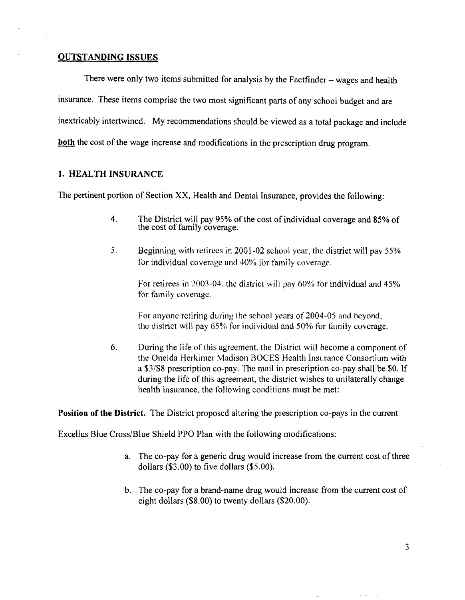## **OUTSTANDING ISSUES**

There were only two items submitted for analysis by the Factfinder  $-$  wages and health insurance. These items comprise the two most significant parts of any school budget and are inextricably intertwined. My recommendations should be viewed as a total package and include **both** the cost of the wage increase and modifications in the prescription drug program.

### **1.** HEALTH INSURANCE

The pertinent portion of Section XX, Health and Dental Insurance, provides the following:

- 4. The District will pay 95% of the cost of individual coverage and 85% of the cost of family coverage.
- 5. Beginning with retirees in 2001-02 school year, the district will pay 55% for individual coverage and 40% for family coverage.

For retirees in 2003-04, the district will pay  $60\%$  for individual and  $45\%$ for family coverage.

For anyone retiring during the school years of 2004-05 and beyond. the district will pay  $65\%$  for individual and  $50\%$  for family coverage.

6. During the life of this agreement, the District will become a component of the Oneida Herkimer Madison BOCES Health Insurance Consortium with a \$3/\$8 prescription co-pay. The mail in prescription co-pay shall be \$0. If during the life of this agreement, the district wishes to unilaterally change health insurance. the following conditions must be met:

**Position of the District.** The District proposed altering the prescription co-pays in the current

Excellus Blue Cross/Blue Shield PPO Plan with the following modifications:

- a. The co-pay for a generic drug would increase from the current cost of three dollars (\$3.00) to five dollars (\$5.00).
- b. The co-pay for a brand-name drug would increase from the current cost of eight dollars (\$8.00) to twenty dollars (\$20.00).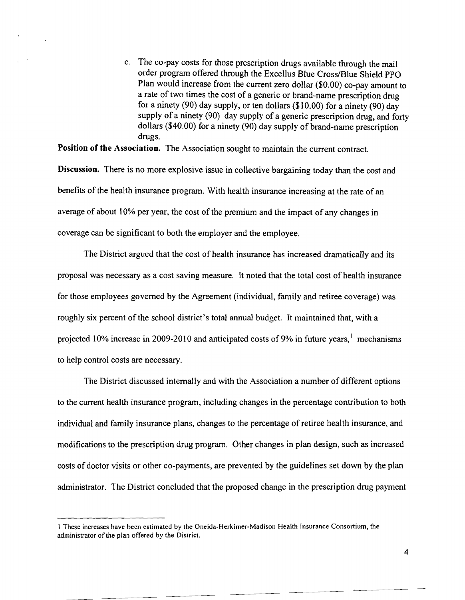c. The co-pay costs for those prescription drugs available through the mail order program offered through the Excellus Blue Cross/Blue Shield PPO Plan would increase from the current zero dollar (\$0.00) co-pay amount to a rate of two times the cost of a generic or brand-name prescription drug for a ninety (90) day supply, or ten dollars (\$10.00) for a ninety (90) day supply of a ninety (90) day supply of a generic prescription drug, and forty dollars (\$40.00) for a ninety (90) day supply of brand-name prescription drugs.

Position of the Association. The Association sought to maintain the current contract.

Discussion. There is no more explosive issue in collective bargaining today than the cost and benefits of the health insurance program. With health insurance increasing at the rate of an average of about 10% per year, the cost of the premium and the impact of any changes in coverage can be significant to both the employer and the employee.

The District argued that the cost of health insurance has increased dramatically and its proposal was necessary as a cost saving measure. It noted that the total cost of health insurance for those employees governed by the Agreement (individual, family and retiree coverage) was roughly six percent of the school district's total annual budget. It maintained that, with a projected 10% increase in 2009-2010 and anticipated costs of 9% in future years,<sup>1</sup> mechanisms to help control costs are necessary.

The District discussed internally and with the Association a number of different options to the current health insurance program, including changes in the percentage contribution to both individual and family insurance plans, changes to the percentage of retiree health insurance, and modifications to the prescription drug program. Other changes in plan design, such as increased costs of doctor visits or other co-payments, are prevented by the guidelines set down by the plan administrator. The District concluded that the proposed change in the prescription drug payment

I These increases have been estimated by the Oneida-Herkimer-Madison Health Insurance Consortium, the administrator of the plan offered by the District.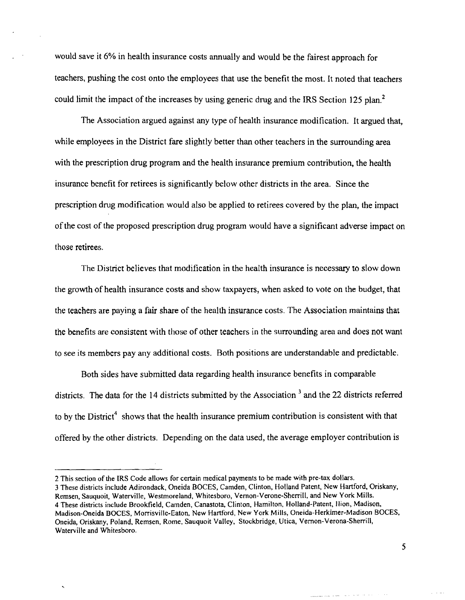would save it 6% in health insurance costs annually and would be the fairest approach for teachers, pushing the cost onto the employees that use the benefit the most. It noted that teachers could limit the impact of the increases by using generic drug and the IRS Section 125 plan.<sup>2</sup>

The Association argued against any type of health insurance modification. It argued that, while employees in the District fare slightly better than other teachers in the surrounding area with the prescription drug program and the health insurance premium contribution, the health insurance benefit for retirees is significantly below other districts in the area. Since the prescription drug modification would also be applied to retirees covered by the plan, the impact ofthe cost of the proposed prescription drug program would have a significant adverse impact on those retirees.

The District believes that modification in the health insurance is necessary to slow down the growth of health insurance costs and show taxpayers, when asked to vote on the budget, that the teachers are paying a fair share of the health insurance costs. The Association maintains that the benefits are consistent with those of other teachers in the surrounding area and does not want to see its members pay any additional costs. Both positions are understandable and predictable.

Both sides have submitted data regarding health insurance benefits in comparable districts. The data for the 14 districts submitted by the Association<sup>3</sup> and the 22 districts referred to by the District<sup>4</sup> shows that the health insurance premium contribution is consistent with that offered by the other districts. Depending on the data used, the average employer contribution is

3 These districts include Adirondack, Oneida BOCES, Camden, Clinton, Holland Patent, New Hartford, Oriskany, Remsen, Sauquoit, Waterville, Westmoreland, Whitesboro, Vemon-Verone-Sherrill, and New York Mills. 4 These districts include Brookfield, Camden, Canastota, Clinton, Hamilton, Holland-Patent, Ilion, Madison, Madison-Oneida BOCES, Morrisville-Eaton, New Hartford, New York Mills, Oneida-Herkimer-Madison BOCES, Oneida, Oriskany, Poland, Remsen, Rome, Sauquoit Valley, Stockbridge, Utica, Vemon-Verona-Sherrill, Waterville and Whitesboro.

<sup>2</sup> This section of the IRS Code allows for certain medical payments to be made with pre-tax dollars.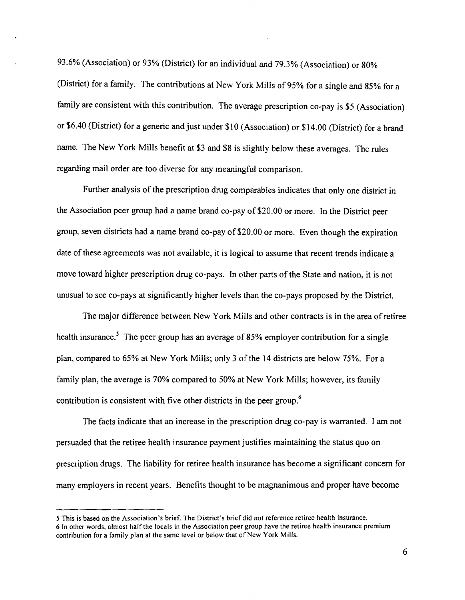93.6% (Association) or 93% (District) for an individual and 79.3% (Association) or 80% (District) for a family. The contributions at New York Mills of 95% for a single and 85% for a family are consistent with this contribution. The average prescription co-pay is \$5 (Association) or \$6.40 (District) for a generic and just under \$10 (Association) or \$14.00 (District) for a brand name. The New York Mills benefit at \$3 and \$8 is slightly below these averages. The rules regarding mail order are too diverse for any meaningful comparison.

Further analysis of the prescription drug comparables indicates that only one district in the Association peer group had a name brand co-pay of \$20.00 or more. In the District peer group, seven districts had a name brand co-pay of\$20.00 or more. Even though the expiration date of these agreements was not available, it is logical to assume that recent trends indicate a move toward higher prescription drug co-pays. In other parts of the State and nation, it is not unusual to see co-pays at significantly higher levels than the co-pays proposed by the District.

The major difference between New York Mills and other contracts is in the area ofretiree health insurance.<sup>5</sup> The peer group has an average of 85% employer contribution for a single plan, compared to 65% at New York Mills; only 3 of the 14 districts are below 75%. For a family plan, the average is 70% compared to 50% at New York Mills; however, its family contribution is consistent with five other districts in the peer group.<sup>6</sup>

The facts indicate that an increase in the prescription drug co-pay is warranted. I am not persuaded that the retiree health insurance payment justifies maintaining the status quo on prescription drugs. The liability for retiree health insurance has become a significant concern for many employers in recent years. Benefits thought to be magnanimous and proper have become

<sup>5</sup> This is based on the Association's brief. The District's brief did not reference retiree health insurance. 6 In other words, almost half the locals in the Association peer group have the retiree health insurance premium contribution for a family plan at the same level or below that of New York Mills.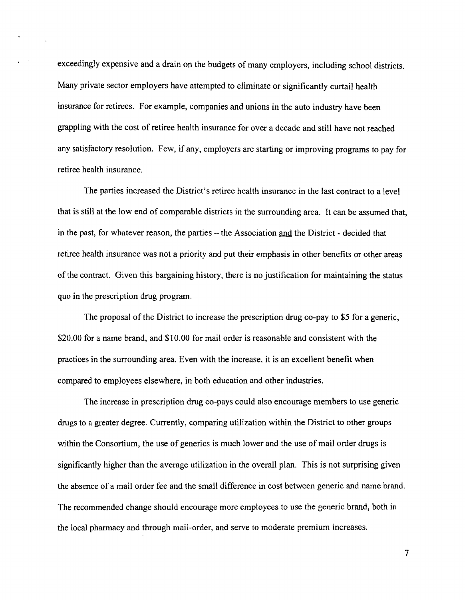exceedingly expensive and a drain on the budgets of many employers, including school districts. Many private sector employers have attempted to eliminate or significantly curtail health insurance for retirees. For example, companies and unions in the auto industry have been grappling with the cost of retiree health insurance for over a decade and still have not reached any satisfactory resolution. Few, if any, employers are starting or improving programs to pay for retiree health insurance.

 $\mathbf{r} \in \mathbb{R}^{n \times n}$ 

The parties increased the District's retiree health insurance in the last contract to a level that is still at the low end of comparable districts in the surrounding area. It can be assumed that, in the past, for whatever reason, the parties – the Association and the District - decided that retiree health insurance was not a priority and put their emphasis in other benefits or other areas of the contract. Given this bargaining history, there is no justification for maintaining the status quo in the prescription drug program.

The proposal of the District to increase the prescription drug co-pay to \$5 for a generic, \$20.00 for a name brand, and \$10.00 for mail order is reasonable and consistent with the practices in the surrounding area. Even with the increase, it is an excellent benefit when compared to employees elsewhere, in both education and other industries.

The increase in prescription drug co-pays could also encourage members to use generic drugs to a greater degree. Currently, comparing utilization within the District to other groups within the Consortium, the use of generics is much lower and the use of mail order drugs is significantly higher than the average utilization in the overall plan. This is not surprising given the absence of a mail order fee and the small difference in cost between generic and name brand. The recommended change should encourage more employees to use the generic brand, both in the local pharmacy and through mail-order, and serve to moderate premium increases.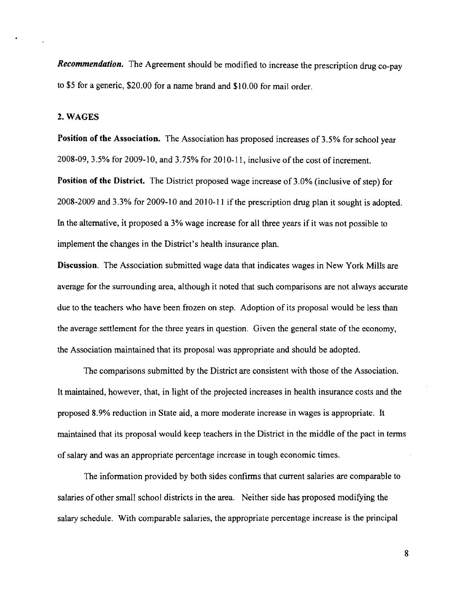*Recommendation.* The Agreement should be modified to increase the prescription drug co-pay to \$5 for a generic, \$20.00 for a name brand and \$10.00 for mail order.

### 2. WAGES

Position of the Association. The Association has proposed increases of 3.5% for school year 2008-09, 3.5% for 2009-10, and 3.75% for 2010-11, inclusive of the cost of increment.

Position of the District. The District proposed wage increase of 3.0% (inclusive of step) for 2008-2009 and 3.3% for 2009-10 and 2010-11 ifthe prescription drug plan it sought is adopted. In the alternative, it proposed a 3% wage increase for all three years if it was not possible to implement the changes in the District's health insurance plan.

Discussion. The Association submitted wage data that indicates wages in New York Mills are average for the surrounding area, although it noted that such comparisons are not always accurate due to the teachers who have been frozen on step. Adoption of its proposal would be less than the average settlement for the three years in question. Given the general state of the economy, the Association maintained that its proposal was appropriate and should be adopted.

The comparisons submitted by the District are consistent with those of the Association. It maintained, however, that, in light of the projected increases in health insurance costs and the proposed 8.9% reduction in State aid, a more moderate increase in wages is appropriate. It maintained that its proposal would keep teachers in the District in the middle of the pact in terms of salary and was an appropriate percentage increase in tough economic times.

The information provided by both sides confirms that current salaries are comparable to salaries of other small school districts in the area. Neither side has proposed modifying the salary schedule. With comparable salaries, the appropriate percentage increase is the principal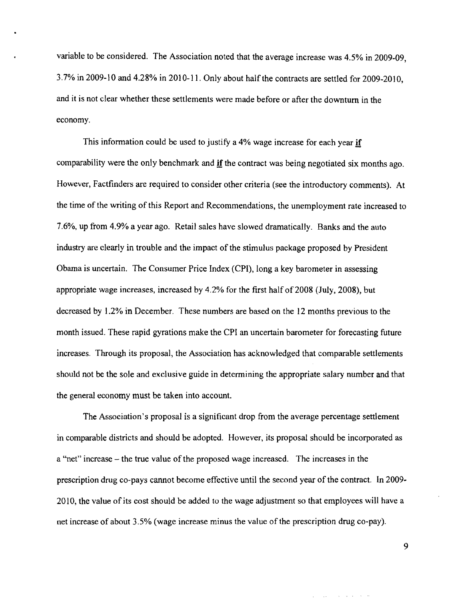variable to be considered. The Association noted that the average increase was 4.5% in 2009.09, 3.7% in 2009-10 and 4.28% in 2010-11. Only about half the contracts are settled for 2009-2010, and it is not clear whether these settlements were made before or after the downturn in the economy.

This information could be used to justify a 4% wage increase for each year if comparability were the only benchmark and  $\mathbf{if}$  the contract was being negotiated six months ago. However, Factfinders are required to consider other criteria (see the introductory comments). At the time of the writing of this Report and Recommendations, the unemployment rate increased to 7.6%, up from 4.9% a year ago. Retail sales have slowed dramatically. Banks and the auto industry are clearly in trouble and the impact of the stimulus package proposed by President Obama is uncertain. The Consumer Price Index (CPI), long a key barometer in assessing appropriate wage increases, increased by 4.2% for the first half of 2008 (July, 2008), but decreased by 1.2% in December. These numbers are based on the 12 months previous to the month issued. These rapid gyrations make the CPI an uncertain barometer for forecasting future increases. Through its proposal, the Association has acknowledged that comparable settlements should not be the sole and exclusive guide in determining the appropriate salary number and that the general economy must be taken into account.

The Association's proposal is a significant drop from the average percentage settlement in comparable districts and should be adopted. However, its proposal should be incorporated as a "net" increase - the true value of the proposed wage increased. The increases in the prescription drug co-pays cannot become effective until the second year of the contract. In 2009 20 I0, the value of its cost should be added to the wage adjustment so that employees will have a net increase of about 3.5% (wage increase minus the value of the prescription drug co-pay).